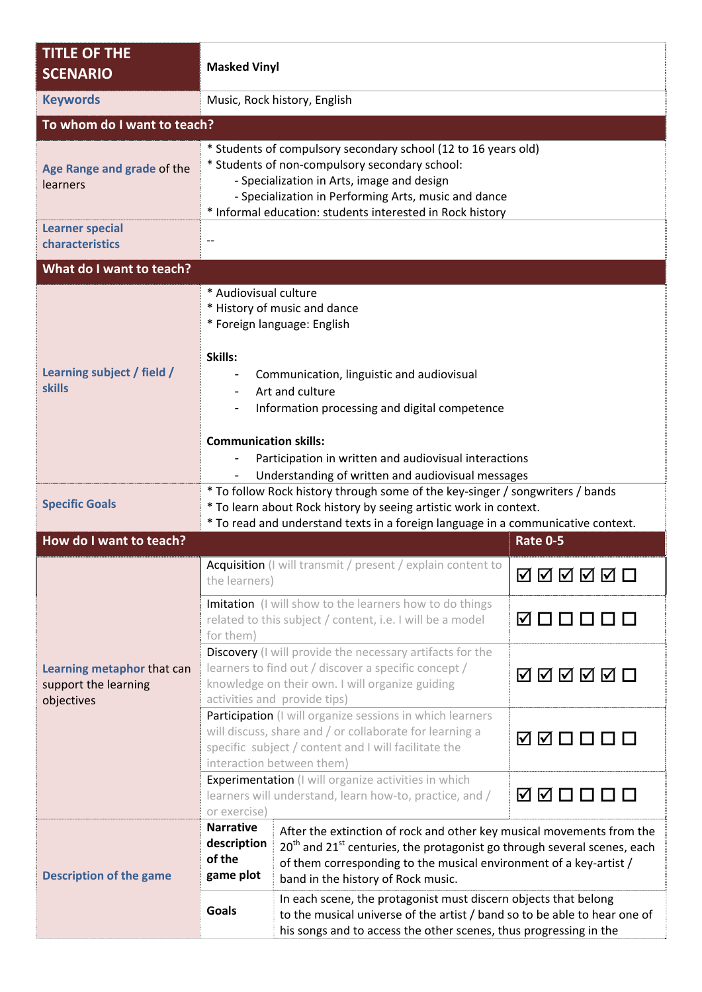| <b>TITLE OF THE</b><br><b>SCENARIO</b>                           | <b>Masked Vinyl</b>                                                                                                                                                                                                                                                                 |                                                                                                                                                                                                                                                                                       |                 |  |
|------------------------------------------------------------------|-------------------------------------------------------------------------------------------------------------------------------------------------------------------------------------------------------------------------------------------------------------------------------------|---------------------------------------------------------------------------------------------------------------------------------------------------------------------------------------------------------------------------------------------------------------------------------------|-----------------|--|
| <b>Keywords</b>                                                  | Music, Rock history, English                                                                                                                                                                                                                                                        |                                                                                                                                                                                                                                                                                       |                 |  |
| To whom do I want to teach?                                      |                                                                                                                                                                                                                                                                                     |                                                                                                                                                                                                                                                                                       |                 |  |
| Age Range and grade of the<br>learners                           | * Students of compulsory secondary school (12 to 16 years old)<br>* Students of non-compulsory secondary school:<br>- Specialization in Arts, image and design<br>- Specialization in Performing Arts, music and dance<br>* Informal education: students interested in Rock history |                                                                                                                                                                                                                                                                                       |                 |  |
| <b>Learner special</b><br>characteristics                        |                                                                                                                                                                                                                                                                                     |                                                                                                                                                                                                                                                                                       |                 |  |
|                                                                  |                                                                                                                                                                                                                                                                                     |                                                                                                                                                                                                                                                                                       |                 |  |
| What do I want to teach?                                         |                                                                                                                                                                                                                                                                                     |                                                                                                                                                                                                                                                                                       |                 |  |
| Learning subject / field /<br><b>skills</b>                      | * Audiovisual culture<br>* History of music and dance<br>* Foreign language: English                                                                                                                                                                                                |                                                                                                                                                                                                                                                                                       |                 |  |
|                                                                  | Skills:<br>Communication, linguistic and audiovisual<br>Art and culture<br>Information processing and digital competence                                                                                                                                                            |                                                                                                                                                                                                                                                                                       |                 |  |
|                                                                  | <b>Communication skills:</b><br>Participation in written and audiovisual interactions<br>Understanding of written and audiovisual messages                                                                                                                                          |                                                                                                                                                                                                                                                                                       |                 |  |
| <b>Specific Goals</b>                                            | * To follow Rock history through some of the key-singer / songwriters / bands<br>* To learn about Rock history by seeing artistic work in context.<br>* To read and understand texts in a foreign language in a communicative context.                                              |                                                                                                                                                                                                                                                                                       |                 |  |
| How do I want to teach?                                          |                                                                                                                                                                                                                                                                                     |                                                                                                                                                                                                                                                                                       | <b>Rate 0-5</b> |  |
| Learning metaphor that can<br>support the learning<br>objectives | Acquisition (I will transmit / present / explain content to<br>the learners)                                                                                                                                                                                                        |                                                                                                                                                                                                                                                                                       | <b>MAMMO</b>    |  |
|                                                                  | Imitation (I will show to the learners how to do things<br>related to this subject / content, i.e. I will be a model<br>for them)                                                                                                                                                   |                                                                                                                                                                                                                                                                                       | 0 □ □ □ □ □     |  |
|                                                                  | Discovery (I will provide the necessary artifacts for the<br>learners to find out / discover a specific concept /<br>knowledge on their own. I will organize guiding<br>activities and provide tips)                                                                                |                                                                                                                                                                                                                                                                                       | ◙◙ØØØ□          |  |
|                                                                  | Participation (I will organize sessions in which learners<br>will discuss, share and / or collaborate for learning a<br>specific subject / content and I will facilitate the<br>interaction between them)                                                                           |                                                                                                                                                                                                                                                                                       | ☑☑□□□□          |  |
|                                                                  | Experimentation (I will organize activities in which<br>learners will understand, learn how-to, practice, and /<br>or exercise)                                                                                                                                                     |                                                                                                                                                                                                                                                                                       | ◙◙□□□□          |  |
| <b>Description of the game</b>                                   | <b>Narrative</b><br>description<br>of the<br>game plot                                                                                                                                                                                                                              | After the extinction of rock and other key musical movements from the<br>20 <sup>th</sup> and 21 <sup>st</sup> centuries, the protagonist go through several scenes, each<br>of them corresponding to the musical environment of a key-artist /<br>band in the history of Rock music. |                 |  |
|                                                                  | <b>Goals</b>                                                                                                                                                                                                                                                                        | In each scene, the protagonist must discern objects that belong<br>to the musical universe of the artist / band so to be able to hear one of<br>his songs and to access the other scenes, thus progressing in the                                                                     |                 |  |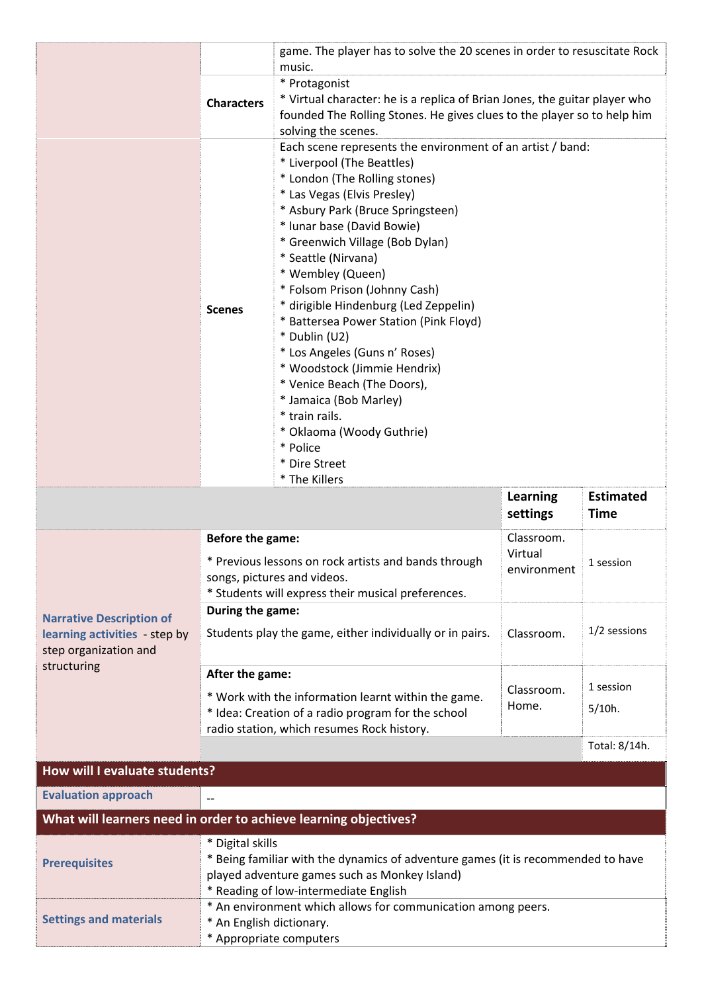|                                                                       | game. The player has to solve the 20 scenes in order to resuscitate Rock<br>music.                                                                                                             |                                                                                                                                                                                                                                                                                                                                                                                                                                                                                                                                                                                                                                                                        |                        |                                 |  |
|-----------------------------------------------------------------------|------------------------------------------------------------------------------------------------------------------------------------------------------------------------------------------------|------------------------------------------------------------------------------------------------------------------------------------------------------------------------------------------------------------------------------------------------------------------------------------------------------------------------------------------------------------------------------------------------------------------------------------------------------------------------------------------------------------------------------------------------------------------------------------------------------------------------------------------------------------------------|------------------------|---------------------------------|--|
|                                                                       | <b>Characters</b>                                                                                                                                                                              | * Protagonist<br>* Virtual character: he is a replica of Brian Jones, the guitar player who<br>founded The Rolling Stones. He gives clues to the player so to help him<br>solving the scenes.                                                                                                                                                                                                                                                                                                                                                                                                                                                                          |                        |                                 |  |
|                                                                       | <b>Scenes</b>                                                                                                                                                                                  | Each scene represents the environment of an artist / band:<br>* Liverpool (The Beattles)<br>* London (The Rolling stones)<br>* Las Vegas (Elvis Presley)<br>* Asbury Park (Bruce Springsteen)<br>* lunar base (David Bowie)<br>* Greenwich Village (Bob Dylan)<br>* Seattle (Nirvana)<br>* Wembley (Queen)<br>* Folsom Prison (Johnny Cash)<br>* dirigible Hindenburg (Led Zeppelin)<br>* Battersea Power Station (Pink Floyd)<br>* Dublin (U2)<br>* Los Angeles (Guns n' Roses)<br>* Woodstock (Jimmie Hendrix)<br>* Venice Beach (The Doors),<br>* Jamaica (Bob Marley)<br>* train rails.<br>* Oklaoma (Woody Guthrie)<br>* Police<br>* Dire Street<br>* The Killers |                        |                                 |  |
|                                                                       |                                                                                                                                                                                                |                                                                                                                                                                                                                                                                                                                                                                                                                                                                                                                                                                                                                                                                        | Learning<br>settings   | <b>Estimated</b><br><b>Time</b> |  |
|                                                                       | Before the game:                                                                                                                                                                               |                                                                                                                                                                                                                                                                                                                                                                                                                                                                                                                                                                                                                                                                        | Classroom.             |                                 |  |
|                                                                       | * Previous lessons on rock artists and bands through<br>songs, pictures and videos.<br>* Students will express their musical preferences.                                                      |                                                                                                                                                                                                                                                                                                                                                                                                                                                                                                                                                                                                                                                                        | Virtual<br>environment | 1 session                       |  |
| <b>Narrative Description of</b>                                       | During the game:                                                                                                                                                                               |                                                                                                                                                                                                                                                                                                                                                                                                                                                                                                                                                                                                                                                                        |                        |                                 |  |
| learning activities - step by<br>step organization and<br>structuring | Students play the game, either individually or in pairs.                                                                                                                                       |                                                                                                                                                                                                                                                                                                                                                                                                                                                                                                                                                                                                                                                                        | Classroom.             | 1/2 sessions                    |  |
|                                                                       | After the game:                                                                                                                                                                                |                                                                                                                                                                                                                                                                                                                                                                                                                                                                                                                                                                                                                                                                        |                        |                                 |  |
|                                                                       | * Work with the information learnt within the game.<br>* Idea: Creation of a radio program for the school<br>radio station, which resumes Rock history.                                        |                                                                                                                                                                                                                                                                                                                                                                                                                                                                                                                                                                                                                                                                        | Classroom.<br>Home.    | 1 session<br>$5/10h$ .          |  |
|                                                                       |                                                                                                                                                                                                |                                                                                                                                                                                                                                                                                                                                                                                                                                                                                                                                                                                                                                                                        |                        | Total: 8/14h.                   |  |
| How will I evaluate students?                                         |                                                                                                                                                                                                |                                                                                                                                                                                                                                                                                                                                                                                                                                                                                                                                                                                                                                                                        |                        |                                 |  |
| <b>Evaluation approach</b>                                            |                                                                                                                                                                                                |                                                                                                                                                                                                                                                                                                                                                                                                                                                                                                                                                                                                                                                                        |                        |                                 |  |
| What will learners need in order to achieve learning objectives?      |                                                                                                                                                                                                |                                                                                                                                                                                                                                                                                                                                                                                                                                                                                                                                                                                                                                                                        |                        |                                 |  |
| <b>Prerequisites</b>                                                  | * Digital skills<br>* Being familiar with the dynamics of adventure games (it is recommended to have<br>played adventure games such as Monkey Island)<br>* Reading of low-intermediate English |                                                                                                                                                                                                                                                                                                                                                                                                                                                                                                                                                                                                                                                                        |                        |                                 |  |
| <b>Settings and materials</b>                                         | * An environment which allows for communication among peers.<br>* An English dictionary.<br>* Appropriate computers                                                                            |                                                                                                                                                                                                                                                                                                                                                                                                                                                                                                                                                                                                                                                                        |                        |                                 |  |